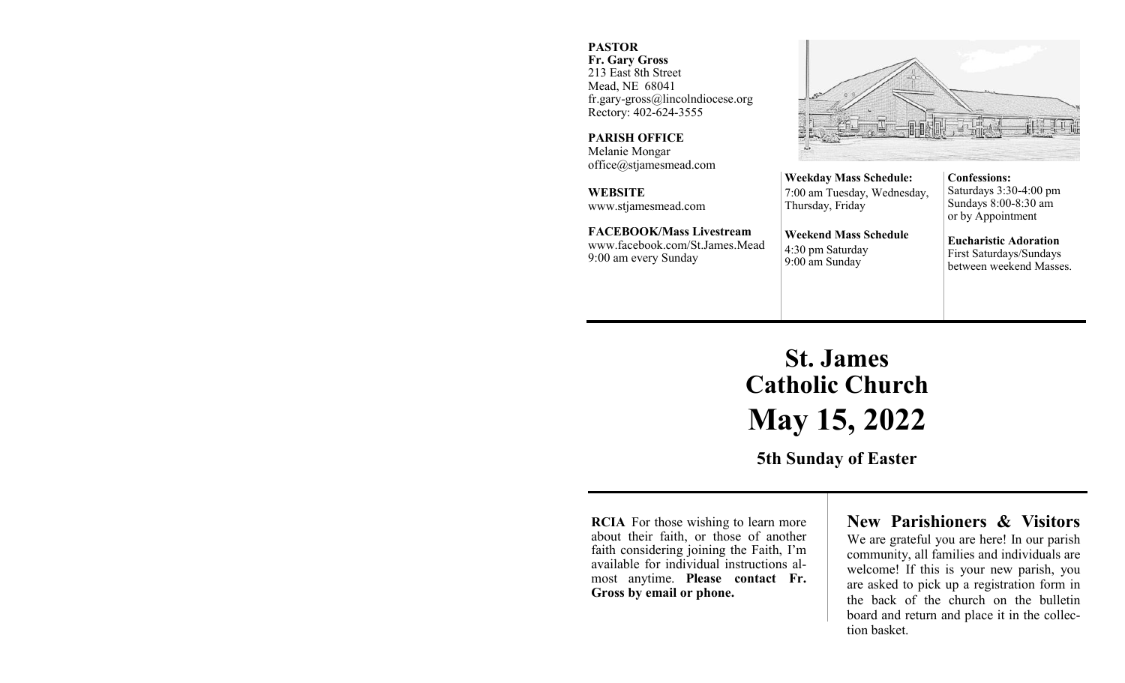#### **PASTOR**

**Fr. Gary Gross** 213 East 8th Street Mead, NE 68041 fr.gary-gross@lincolndiocese.org Rectory: 402-624-3555

**PARISH OFFICE** Melanie Mongar office@stjamesmead.com

**WEBSITE** www.stjamesmead.com

**FACEBOOK/Mass Livestream** [www.facebook.com/St.James.Mead](https://www.facebook.com/St.James.Mead/) 9:00 am every Sunday

**Confessions:**  Saturdays 3:30-4:00 pm Sundays 8:00-8:30 am or by Appointment

**Eucharistic Adoration**  First Saturdays/Sundays between weekend Masses.

# **St. James Catholic Church May 15, 2022**

**Weekday Mass Schedule:**  7:00 am Tuesday, Wednesday,

**Weekend Mass Schedule**

Thursday, Friday

4:30 pm Saturday 9:00 am Sunday

**5th Sunday of Easter**

**RCIA** For those wishing to learn more about their faith, or those of another faith considering joining the Faith, I'm available for individual instructions almost anytime. **Please contact Fr. Gross by email or phone.**

## **New Parishioners & Visitors**

We are grateful you are here! In our parish community, all families and individuals are welcome! If this is your new parish, you are asked to pick up a registration form in the back of the church on the bulletin board and return and place it in the collection basket.